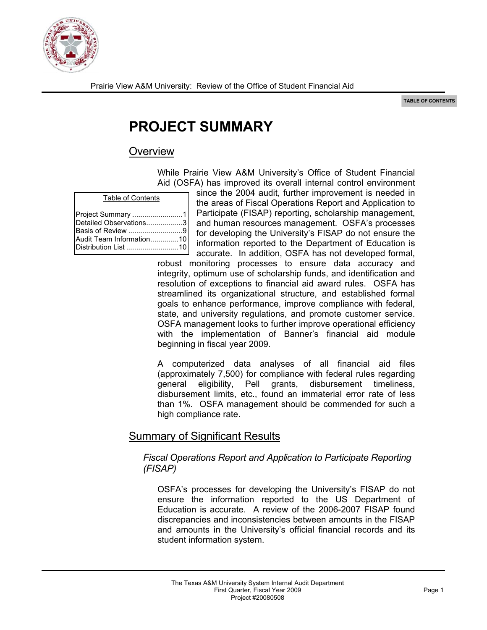

# **PROJECT SUMMARY**

## **Overview**

While Prairie View A&M University's Office of Student Financial Aid (OSFA) has improved its overall internal control environment

|  | <b>Table of Contents</b> |
|--|--------------------------|
|  |                          |

| Project Summary 1      |  |
|------------------------|--|
| Detailed Observations3 |  |
| Basis of Review 9      |  |
|                        |  |
|                        |  |

since the 2004 audit, further improvement is needed in the areas of Fiscal Operations Report and Application to Participate (FISAP) reporting, scholarship management, and human resources management. OSFA's processes for developing the University's FISAP do not ensure the information reported to the Department of Education is accurate. In addition, OSFA has not developed formal,

robust monitoring processes to ensure data accuracy and integrity, optimum use of scholarship funds, and identification and resolution of exceptions to financial aid award rules. OSFA has streamlined its organizational structure, and established formal goals to enhance performance, improve compliance with federal, state, and university regulations, and promote customer service. OSFA management looks to further improve operational efficiency with the implementation of Banner's financial aid module beginning in fiscal year 2009.

A computerized data analyses of all financial aid files (approximately 7,500) for compliance with federal rules regarding general eligibility, Pell grants, disbursement timeliness, disbursement limits, etc., found an immaterial error rate of less than 1%. OSFA management should be commended for such a high compliance rate.

## Summary of Significant Results

#### *Fiscal Operations Report and Application to Participate Reporting (FISAP)*

OSFA's processes for developing the University's FISAP do not ensure the information reported to the US Department of Education is accurate. A review of the 2006-2007 FISAP found discrepancies and inconsistencies between amounts in the FISAP and amounts in the University's official financial records and its student information system.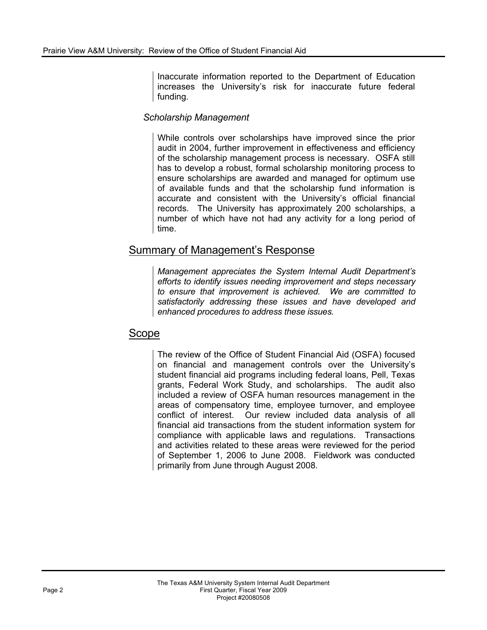Inaccurate information reported to the Department of Education increases the University's risk for inaccurate future federal funding.

#### *Scholarship Management*

While controls over scholarships have improved since the prior audit in 2004, further improvement in effectiveness and efficiency of the scholarship management process is necessary. OSFA still has to develop a robust, formal scholarship monitoring process to ensure scholarships are awarded and managed for optimum use of available funds and that the scholarship fund information is accurate and consistent with the University's official financial records. The University has approximately 200 scholarships, a number of which have not had any activity for a long period of time.

### Summary of Management's Response

*Management appreciates the System Internal Audit Department's efforts to identify issues needing improvement and steps necessary to ensure that improvement is achieved. We are committed to satisfactorily addressing these issues and have developed and enhanced procedures to address these issues.* 

### Scope

The review of the Office of Student Financial Aid (OSFA) focused on financial and management controls over the University's student financial aid programs including federal loans, Pell, Texas grants, Federal Work Study, and scholarships. The audit also included a review of OSFA human resources management in the areas of compensatory time, employee turnover, and employee conflict of interest. Our review included data analysis of all financial aid transactions from the student information system for compliance with applicable laws and regulations. Transactions and activities related to these areas were reviewed for the period of September 1, 2006 to June 2008. Fieldwork was conducted primarily from June through August 2008.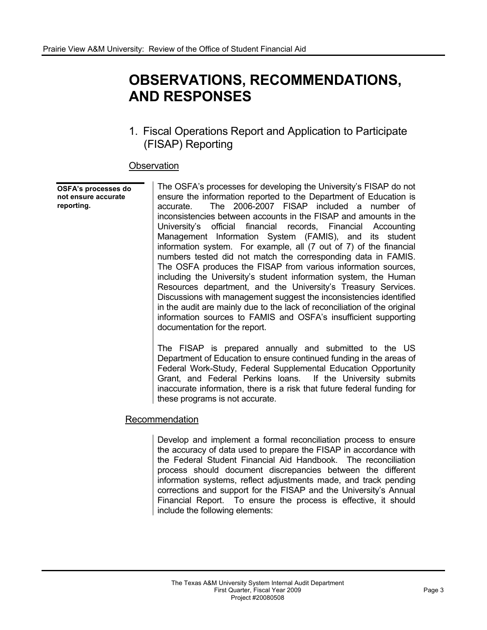## **OBSERVATIONS, RECOMMENDATIONS, AND RESPONSES**

1. Fiscal Operations Report and Application to Participate (FISAP) Reporting

#### **Observation**

#### **OSFA's processes do not ensure accurate reporting.**

The OSFA's processes for developing the University's FISAP do not ensure the information reported to the Department of Education is accurate. The 2006-2007 FISAP included a number of inconsistencies between accounts in the FISAP and amounts in the University's official financial records, Financial Accounting Management Information System (FAMIS), and its student information system. For example, all (7 out of 7) of the financial numbers tested did not match the corresponding data in FAMIS. The OSFA produces the FISAP from various information sources, including the University's student information system, the Human Resources department, and the University's Treasury Services. Discussions with management suggest the inconsistencies identified in the audit are mainly due to the lack of reconciliation of the original information sources to FAMIS and OSFA's insufficient supporting documentation for the report.

The FISAP is prepared annually and submitted to the US Department of Education to ensure continued funding in the areas of Federal Work-Study, Federal Supplemental Education Opportunity Grant, and Federal Perkins loans. If the University submits inaccurate information, there is a risk that future federal funding for these programs is not accurate.

#### Recommendation

Develop and implement a formal reconciliation process to ensure the accuracy of data used to prepare the FISAP in accordance with the Federal Student Financial Aid Handbook. The reconciliation process should document discrepancies between the different information systems, reflect adjustments made, and track pending corrections and support for the FISAP and the University's Annual Financial Report. To ensure the process is effective, it should include the following elements: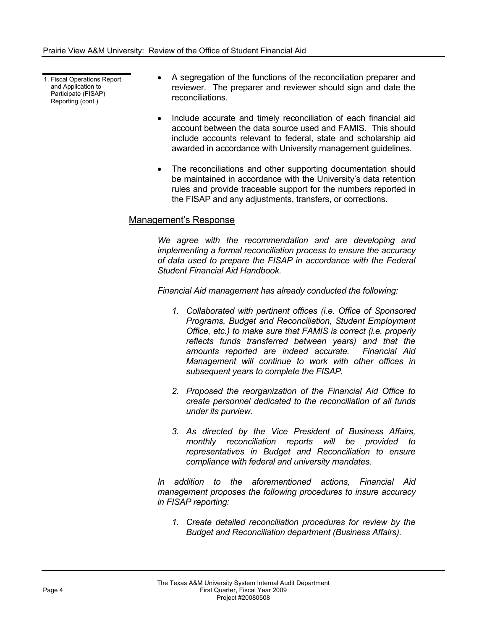1. Fiscal Operations Report and Application to Participate (FISAP) Reporting (cont.)

- ! A segregation of the functions of the reconciliation preparer and reviewer. The preparer and reviewer should sign and date the reconciliations.
- Include accurate and timely reconciliation of each financial aid account between the data source used and FAMIS. This should include accounts relevant to federal, state and scholarship aid awarded in accordance with University management guidelines.
- The reconciliations and other supporting documentation should be maintained in accordance with the University's data retention rules and provide traceable support for the numbers reported in the FISAP and any adjustments, transfers, or corrections.

### Management's Response

*We agree with the recommendation and are developing and implementing a formal reconciliation process to ensure the accuracy of data used to prepare the FISAP in accordance with the Federal Student Financial Aid Handbook.* 

*Financial Aid management has already conducted the following:* 

- *1. Collaborated with pertinent offices (i.e. Office of Sponsored Programs, Budget and Reconciliation, Student Employment Office, etc.) to make sure that FAMIS is correct (i.e. properly reflects funds transferred between years) and that the amounts reported are indeed accurate. Financial Aid Management will continue to work with other offices in subsequent years to complete the FISAP.*
- *2. Proposed the reorganization of the Financial Aid Office to create personnel dedicated to the reconciliation of all funds under its purview.*
- *3. As directed by the Vice President of Business Affairs, monthly reconciliation reports will be provided to representatives in Budget and Reconciliation to ensure compliance with federal and university mandates.*

*In addition to the aforementioned actions, Financial Aid management proposes the following procedures to insure accuracy in FISAP reporting:* 

 *1. Create detailed reconciliation procedures for review by the Budget and Reconciliation department (Business Affairs).*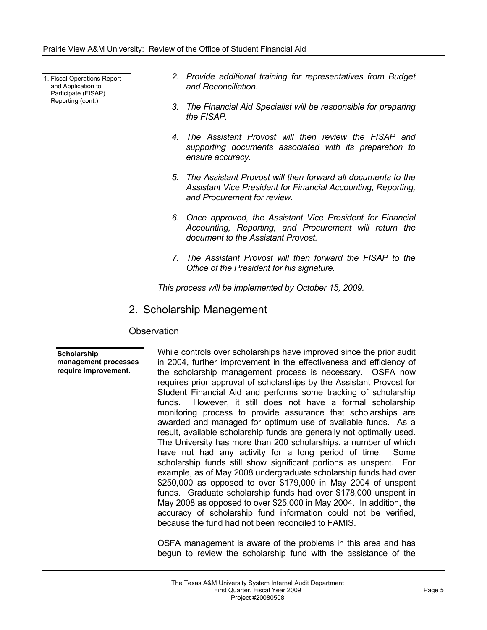1. Fiscal Operations Report and Application to Participate (FISAP) Reporting (cont.)

- *2. Provide additional training for representatives from Budget and Reconciliation.*
- *3. The Financial Aid Specialist will be responsible for preparing the FISAP.*
- *4. The Assistant Provost will then review the FISAP and supporting documents associated with its preparation to ensure accuracy.*
- *5. The Assistant Provost will then forward all documents to the Assistant Vice President for Financial Accounting, Reporting, and Procurement for review.*
- *6. Once approved, the Assistant Vice President for Financial Accounting, Reporting, and Procurement will return the document to the Assistant Provost.*
- *7. The Assistant Provost will then forward the FISAP to the Office of the President for his signature.*

*This process will be implemented by October 15, 2009.* 

2. Scholarship Management

#### **Observation**

**Scholarship management processes require improvement.** 

While controls over scholarships have improved since the prior audit in 2004, further improvement in the effectiveness and efficiency of the scholarship management process is necessary. OSFA now requires prior approval of scholarships by the Assistant Provost for Student Financial Aid and performs some tracking of scholarship funds. However, it still does not have a formal scholarship monitoring process to provide assurance that scholarships are awarded and managed for optimum use of available funds. As a result, available scholarship funds are generally not optimally used. The University has more than 200 scholarships, a number of which have not had any activity for a long period of time. Some scholarship funds still show significant portions as unspent. For example, as of May 2008 undergraduate scholarship funds had over \$250,000 as opposed to over \$179,000 in May 2004 of unspent funds. Graduate scholarship funds had over \$178,000 unspent in May 2008 as opposed to over \$25,000 in May 2004. In addition, the accuracy of scholarship fund information could not be verified, because the fund had not been reconciled to FAMIS.

OSFA management is aware of the problems in this area and has begun to review the scholarship fund with the assistance of the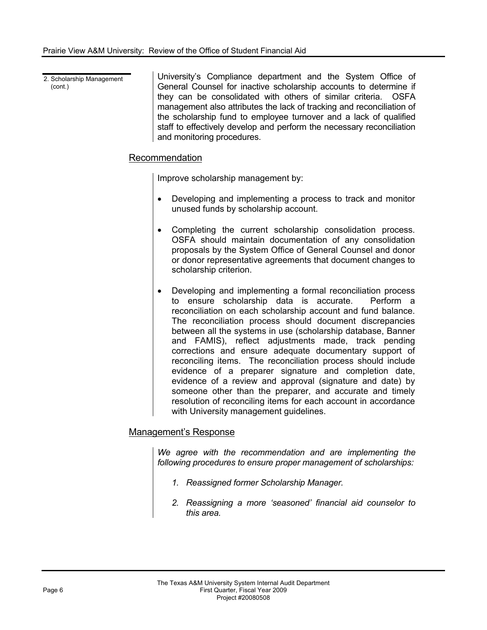2. Scholarship Management (cont.) University's Compliance department and the System Office of General Counsel for inactive scholarship accounts to determine if they can be consolidated with others of similar criteria. OSFA management also attributes the lack of tracking and reconciliation of the scholarship fund to employee turnover and a lack of qualified staff to effectively develop and perform the necessary reconciliation and monitoring procedures.

#### Recommendation

Improve scholarship management by:

- Developing and implementing a process to track and monitor unused funds by scholarship account.
- Completing the current scholarship consolidation process. OSFA should maintain documentation of any consolidation proposals by the System Office of General Counsel and donor or donor representative agreements that document changes to scholarship criterion.
- Developing and implementing a formal reconciliation process to ensure scholarship data is accurate. Perform a reconciliation on each scholarship account and fund balance. The reconciliation process should document discrepancies between all the systems in use (scholarship database, Banner and FAMIS), reflect adjustments made, track pending corrections and ensure adequate documentary support of reconciling items. The reconciliation process should include evidence of a preparer signature and completion date, evidence of a review and approval (signature and date) by someone other than the preparer, and accurate and timely resolution of reconciling items for each account in accordance with University management guidelines.

#### Management's Response

*We agree with the recommendation and are implementing the following procedures to ensure proper management of scholarships:* 

- *1. Reassigned former Scholarship Manager.*
- *2. Reassigning a more 'seasoned' financial aid counselor to this area.*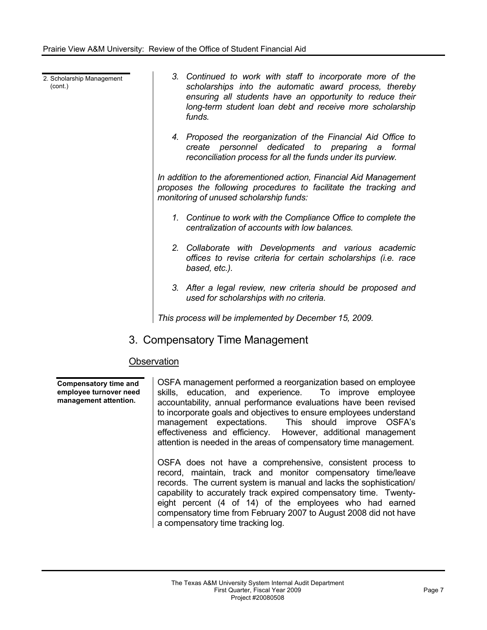2. Scholarship Management (cont.)

- *3. Continued to work with staff to incorporate more of the scholarships into the automatic award process, thereby ensuring all students have an opportunity to reduce their long-term student loan debt and receive more scholarship funds.*
- *4. Proposed the reorganization of the Financial Aid Office to create personnel dedicated to preparing a formal reconciliation process for all the funds under its purview.*

*In addition to the aforementioned action, Financial Aid Management proposes the following procedures to facilitate the tracking and monitoring of unused scholarship funds:* 

- *1. Continue to work with the Compliance Office to complete the centralization of accounts with low balances.*
- *2. Collaborate with Developments and various academic offices to revise criteria for certain scholarships (i.e. race based, etc.).*
- *3. After a legal review, new criteria should be proposed and used for scholarships with no criteria.*

*This process will be implemented by December 15, 2009.* 

## 3. Compensatory Time Management

#### **Observation**

**Compensatory time and employee turnover need management attention.** 

OSFA management performed a reorganization based on employee skills, education, and experience. To improve employee accountability, annual performance evaluations have been revised to incorporate goals and objectives to ensure employees understand management expectations. This should improve OSFA's effectiveness and efficiency. However, additional management attention is needed in the areas of compensatory time management.

OSFA does not have a comprehensive, consistent process to record, maintain, track and monitor compensatory time/leave records. The current system is manual and lacks the sophistication/ capability to accurately track expired compensatory time. Twentyeight percent (4 of 14) of the employees who had earned compensatory time from February 2007 to August 2008 did not have a compensatory time tracking log.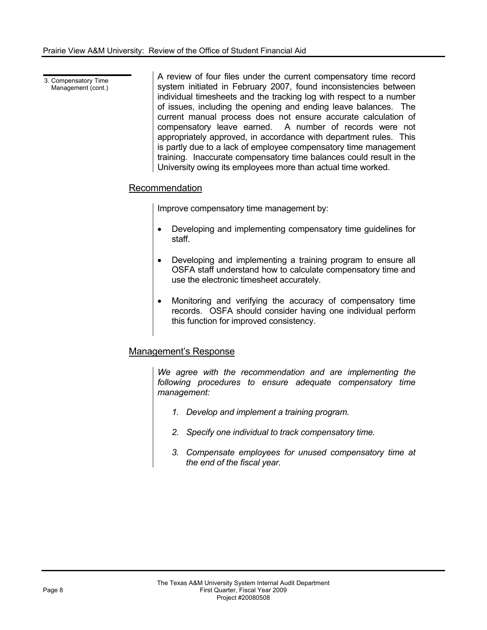3. Compensatory Time Management (cont.) A review of four files under the current compensatory time record system initiated in February 2007, found inconsistencies between individual timesheets and the tracking log with respect to a number of issues, including the opening and ending leave balances. The current manual process does not ensure accurate calculation of compensatory leave earned. A number of records were not appropriately approved, in accordance with department rules. This is partly due to a lack of employee compensatory time management training. Inaccurate compensatory time balances could result in the University owing its employees more than actual time worked.

#### Recommendation

Improve compensatory time management by:

- Developing and implementing compensatory time guidelines for staff.
- Developing and implementing a training program to ensure all OSFA staff understand how to calculate compensatory time and use the electronic timesheet accurately.
- Monitoring and verifying the accuracy of compensatory time records. OSFA should consider having one individual perform this function for improved consistency.

### Management's Response

*We agree with the recommendation and are implementing the following procedures to ensure adequate compensatory time management:* 

- *1. Develop and implement a training program.*
- *2. Specify one individual to track compensatory time.*
- *3. Compensate employees for unused compensatory time at the end of the fiscal year.*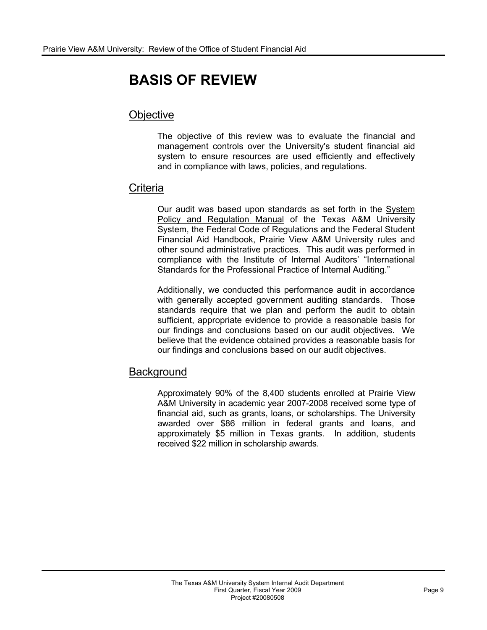# **BASIS OF REVIEW**

## **Objective**

The objective of this review was to evaluate the financial and management controls over the University's student financial aid system to ensure resources are used efficiently and effectively and in compliance with laws, policies, and regulations.

## **Criteria**

Our audit was based upon standards as set forth in the System Policy and Regulation Manual of the Texas A&M University System, the Federal Code of Regulations and the Federal Student Financial Aid Handbook, Prairie View A&M University rules and other sound administrative practices. This audit was performed in compliance with the Institute of Internal Auditors' "International Standards for the Professional Practice of Internal Auditing."

Additionally, we conducted this performance audit in accordance with generally accepted government auditing standards. Those standards require that we plan and perform the audit to obtain sufficient, appropriate evidence to provide a reasonable basis for our findings and conclusions based on our audit objectives. We believe that the evidence obtained provides a reasonable basis for our findings and conclusions based on our audit objectives.

## **Background**

Approximately 90% of the 8,400 students enrolled at Prairie View A&M University in academic year 2007-2008 received some type of financial aid, such as grants, loans, or scholarships. The University awarded over \$86 million in federal grants and loans, and approximately \$5 million in Texas grants. In addition, students received \$22 million in scholarship awards.